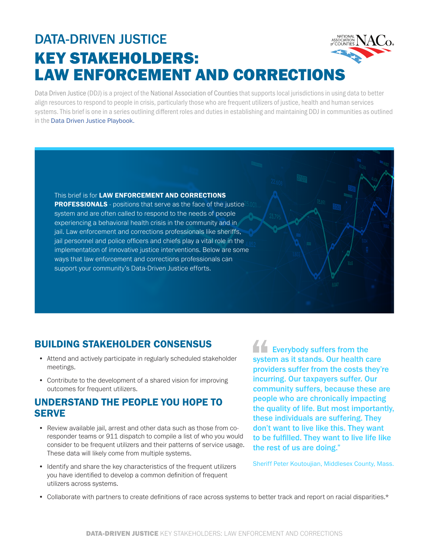# DATA-DRIVEN JUSTICE KEY STAKEHOLDERS: LAW ENFORCEMENT AND CORRECTIONS

Data Driven Justice (DDJ) is a project of the National Association of Counties that supports local jurisdictions in using data to better align resources to respond to people in crisis, particularly those who are frequent utilizers of justice, health and human services systems. This brief is one in a series outlining different roles and duties in establishing and maintaining DDJ in communities as outlined in the [Data Driven Justice Playbook.](https://craftmediabucket.s3.amazonaws.com/uploads/DDJPlaybook.pdf)

This brief is for **LAW ENFORCEMENT AND CORRECTIONS PROFESSIONALS** - positions that serve as the face of the justice<sup>2</sup> system and are often called to respond to the needs of people experiencing a behavioral health crisis in the community and in jail. Law enforcement and corrections professionals like sheriffs, jail personnel and police officers and chiefs play a vital role in the implementation of innovative justice interventions. Below are some ways that law enforcement and corrections professionals can support your community's Data-Driven Justice efforts.

## BUILDING STAKEHOLDER CONSENSUS

- Attend and actively participate in regularly scheduled stakeholder meetings.
- Contribute to the development of a shared vision for improving outcomes for frequent utilizers.

#### UNDERSTAND THE PEOPLE YOU HOPE TO **SERVE**

- Review available jail, arrest and other data such as those from coresponder teams or 911 dispatch to compile a list of who you would consider to be frequent utilizers and their patterns of service usage. These data will likely come from multiple systems.
- Identify and share the key characteristics of the frequent utilizers you have identified to develop a common definition of frequent utilizers across systems.

Everybody suffers from the system as it stands. Our health care providers suffer from the costs they're incurring. Our taxpayers suffer. Our community suffers, because these are people who are chronically impacting the quality of life. But most importantly, these individuals are suffering. They don't want to live like this. They want to be fulfilled. They want to live life like the rest of us are doing."

Sheriff Peter Koutoujian, Middlesex County, Mass.

• Collaborate with partners to create definitions of race across systems to better track and report on racial disparities.\*